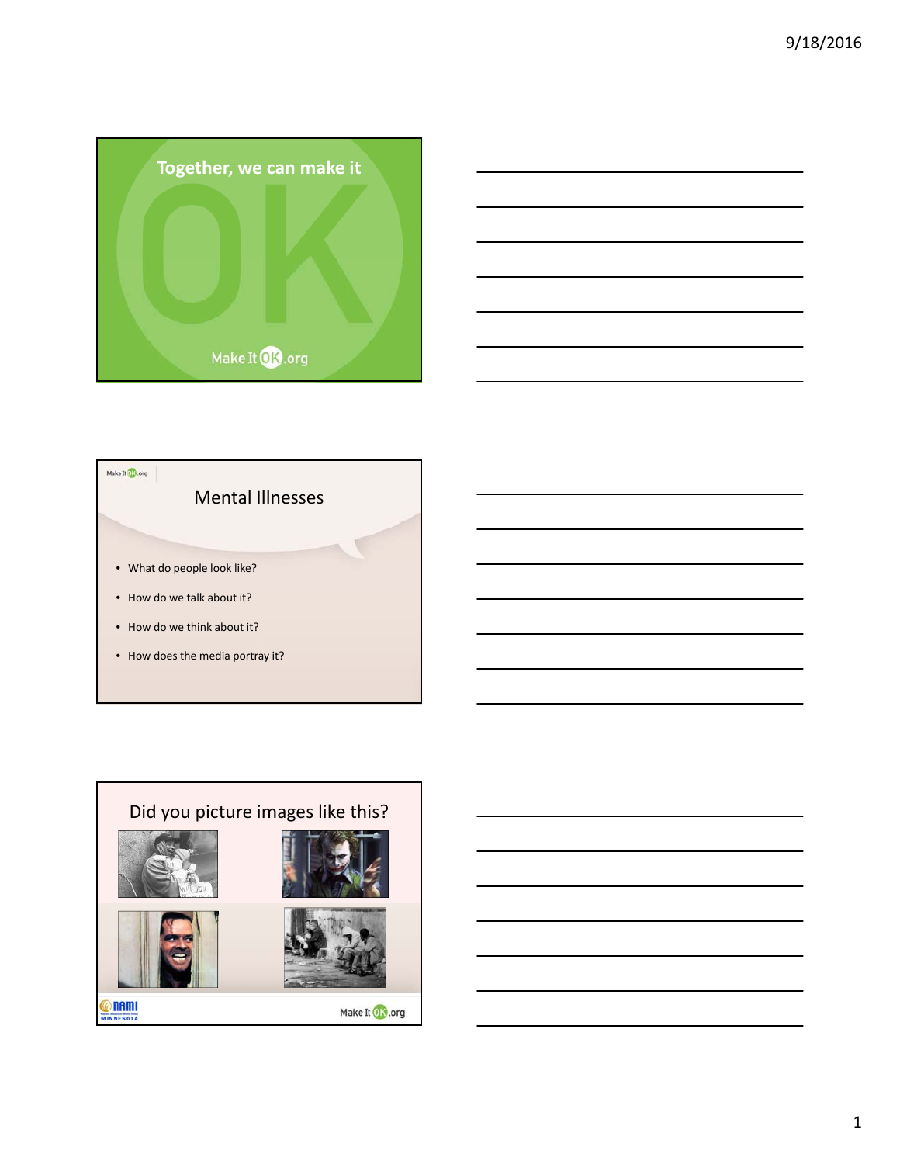





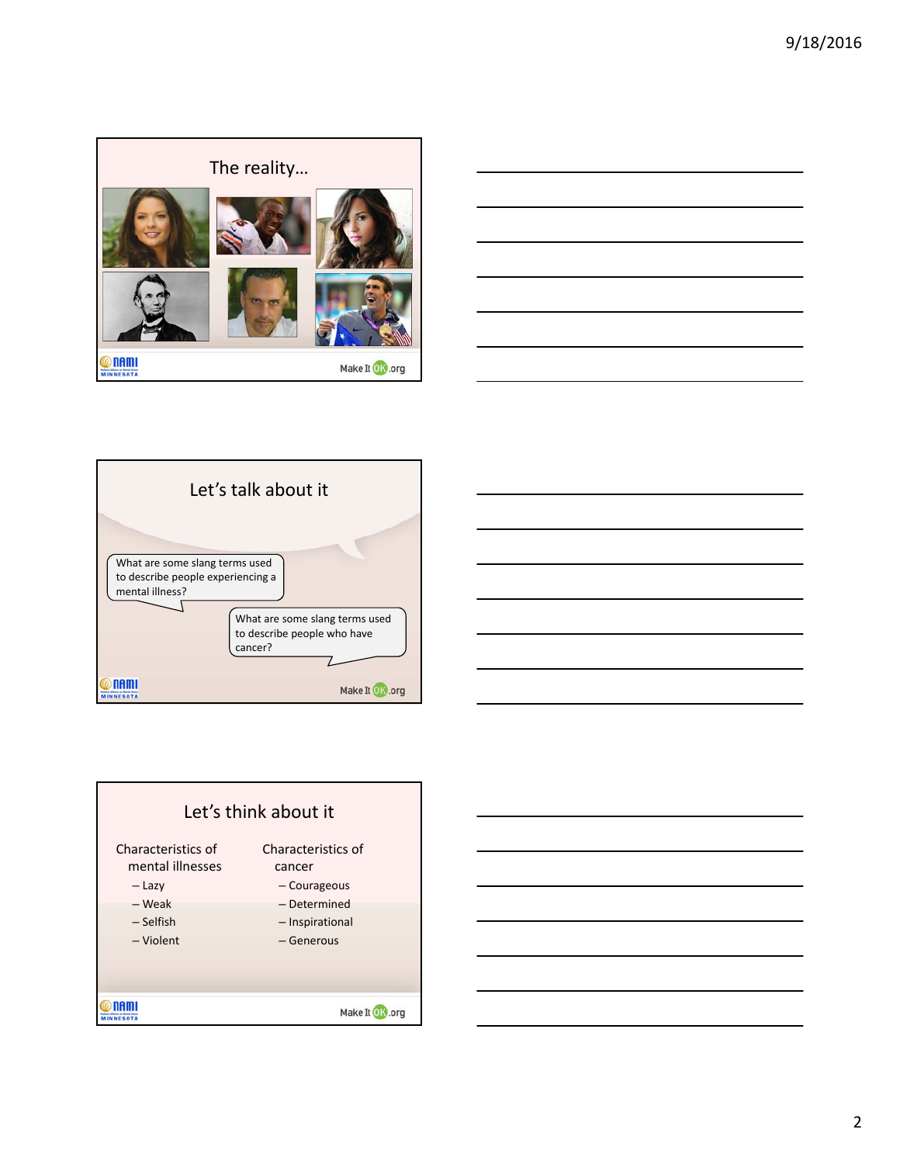









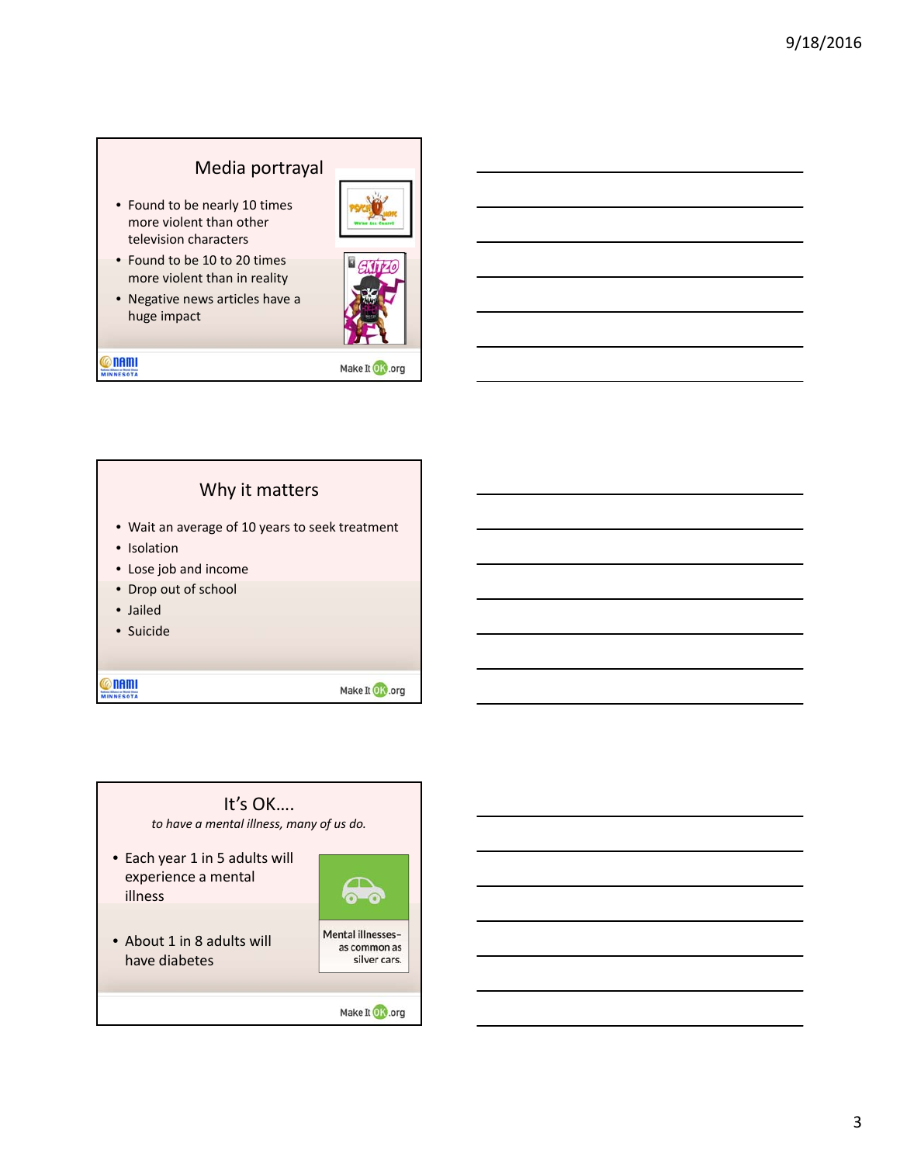## Media portrayal

- Found to be nearly 10 times more violent than other television characters
- Found to be 10 to 20 times more violent than in reality
- Negative news articles have a huge impact



Make It OK .org

**ORANI** 



Make It <sup>O</sup>K .org

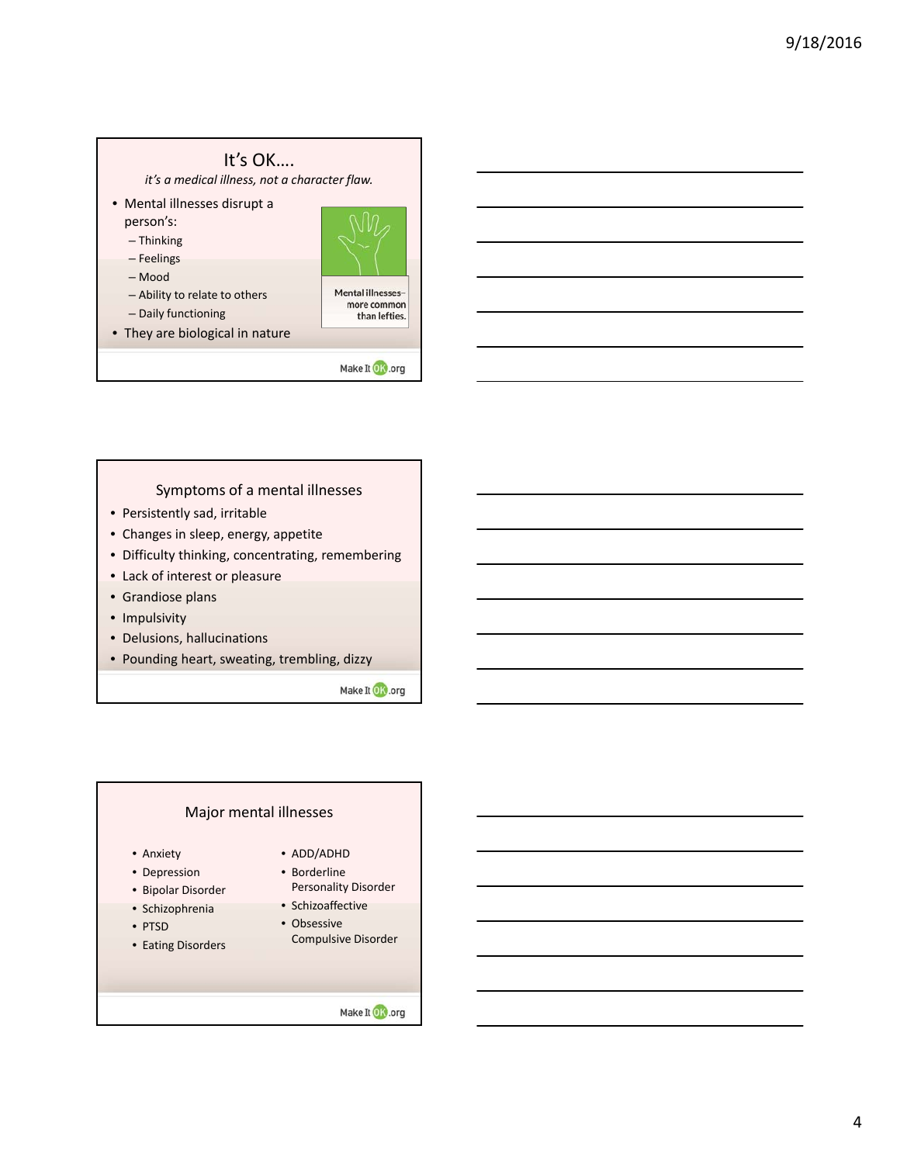## It's OK…. *it's a medical illness, not a character flaw.* • Mental illnesses disrupt a person's: – Thinking – Feelings – Mood Mental illnesses-– Ability to relate to others  $\begin{array}{c} \text{more common} \\ \text{than lefties.} \end{array}$ – Daily functioning • They are biological in nature Make It OK .org

Symptoms of a mental illnesses

- Persistently sad, irritable
- Changes in sleep, energy, appetite
- Difficulty thinking, concentrating, remembering
- Lack of interest or pleasure
- Grandiose plans
- Impulsivity
- Delusions, hallucinations
- Pounding heart, sweating, trembling, dizzy

Make It OK .org

## Major mental illnesses

- Anxiety
- Depression
- Bipolar Disorder
- Schizophrenia
- PTSD
- Eating Disorders
- ADD/ADHD
- Borderline Personality Disorder
- Schizoaffective
- Obsessive
- Compulsive Disorder

Make It <sup>O</sup>K .org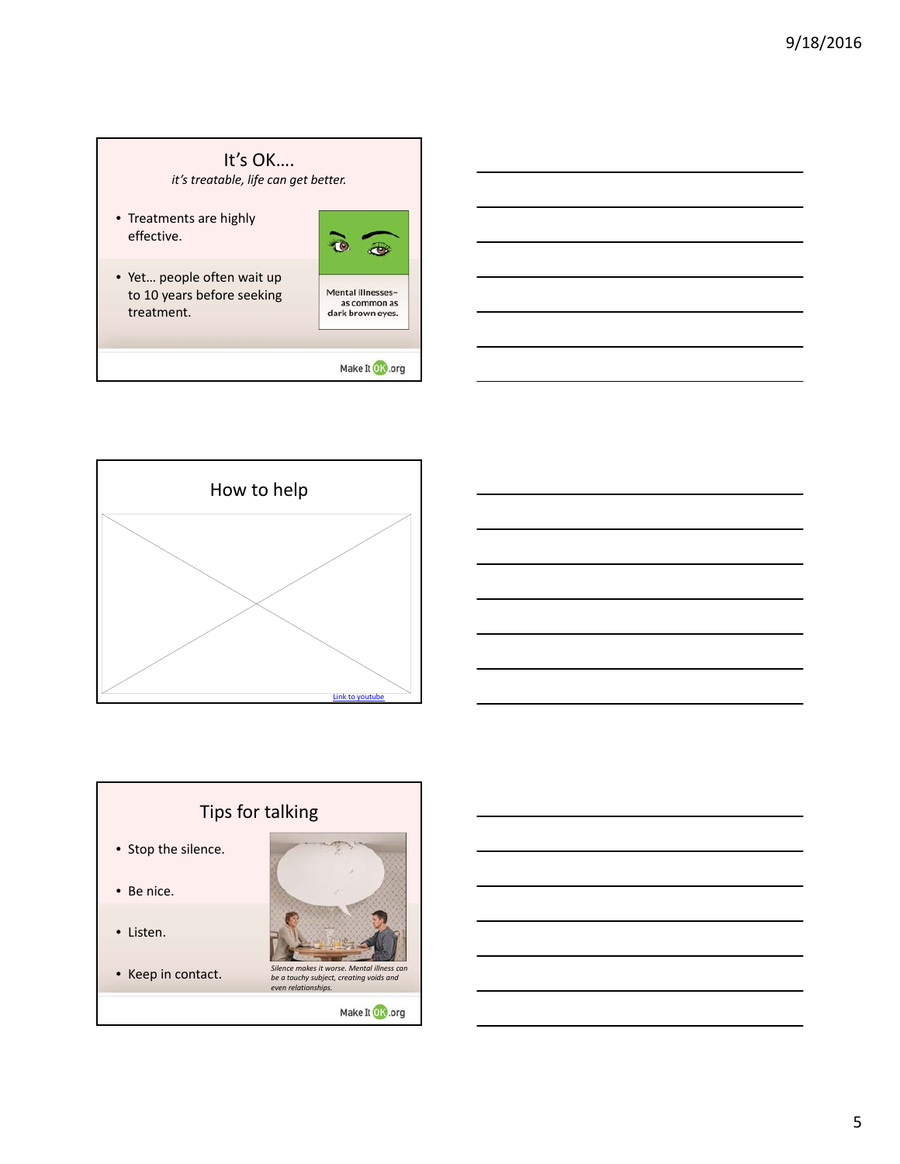

Make It OK .org

How to help Link to youtube



5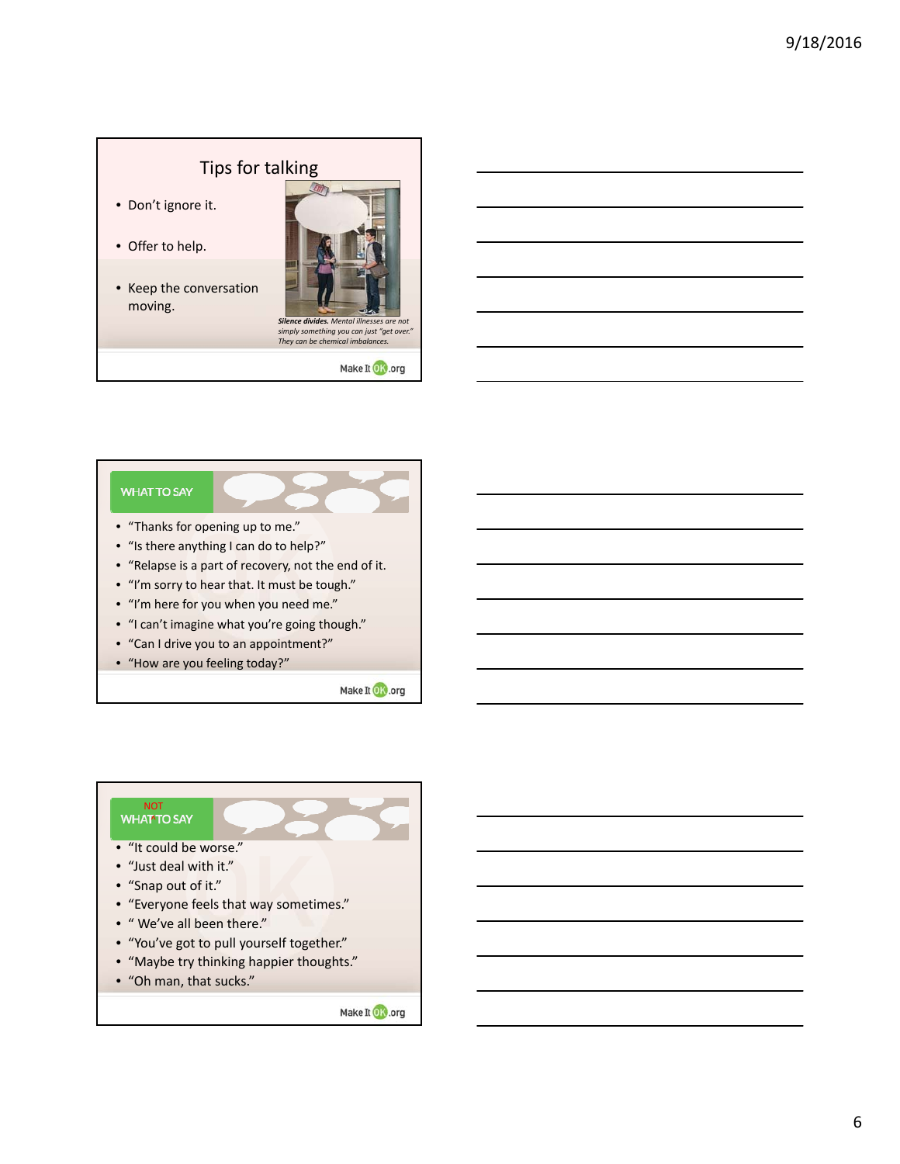# Tips for talking

- Don't ignore it.
- Offer to help.
- Keep the conversation moving.



Make It OK .org

**WHAT TO SAY** • "Thanks for opening up to me." • "Is there anything I can do to help?" • "Relapse is a part of recovery, not the end of it. • "I'm sorry to hear that. It must be tough." • "I'm here for you when you need me." • "I can't imagine what you're going though." • "Can I drive you to an appointment?"

• "How are you feeling today?"

Make It OK .org

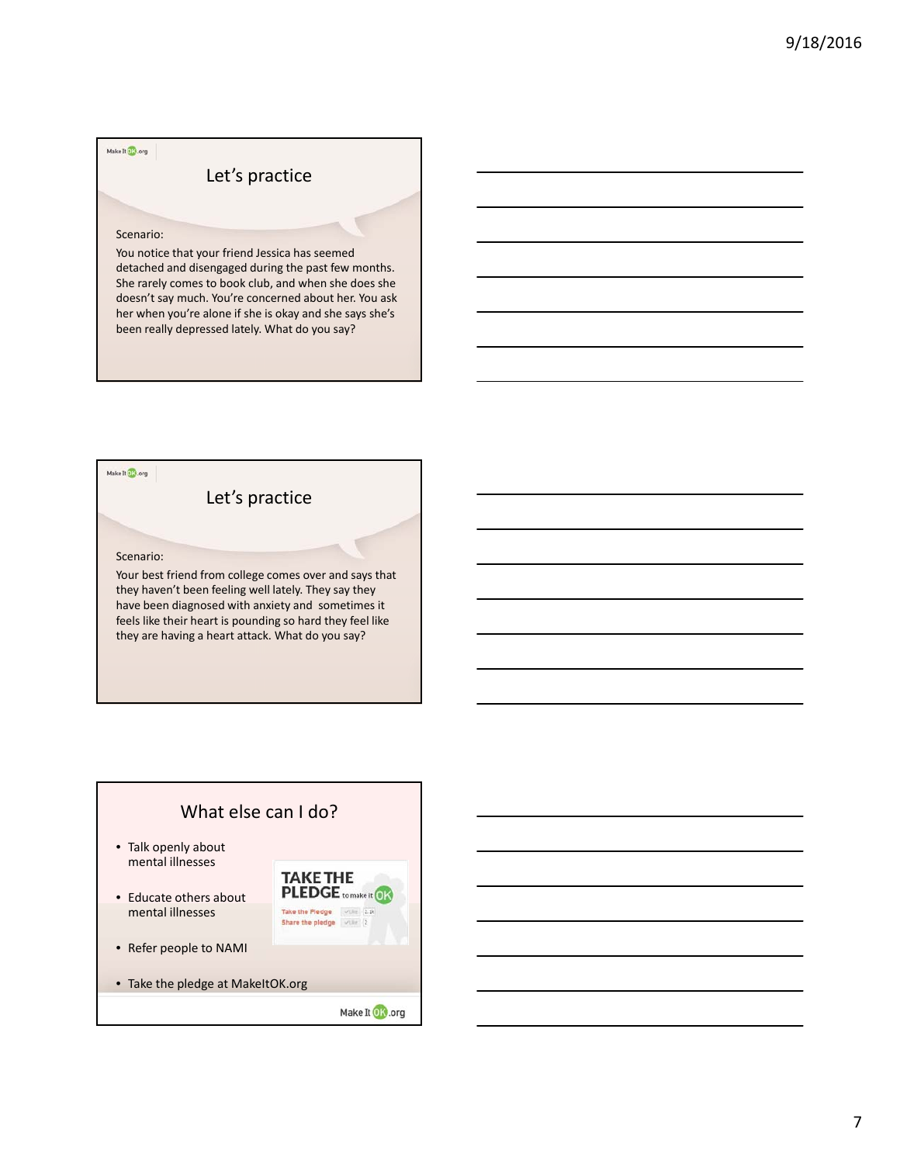#### Make It 13.org

## Let's practice

#### Scenario:

You notice that your friend Jessica has seemed detached and disengaged during the past few months. She rarely comes to book club, and when she does she doesn't say much. You're concerned about her. You ask her when you're alone if she is okay and she says she's been really depressed lately. What do you say?

### Make It **173**.org

Let's practice

#### Scenario:

Your best friend from college comes over and says that they haven't been feeling well lately. They say they have been diagnosed with anxiety and sometimes it feels like their heart is pounding so hard they feel like they are having a heart attack. What do you say?

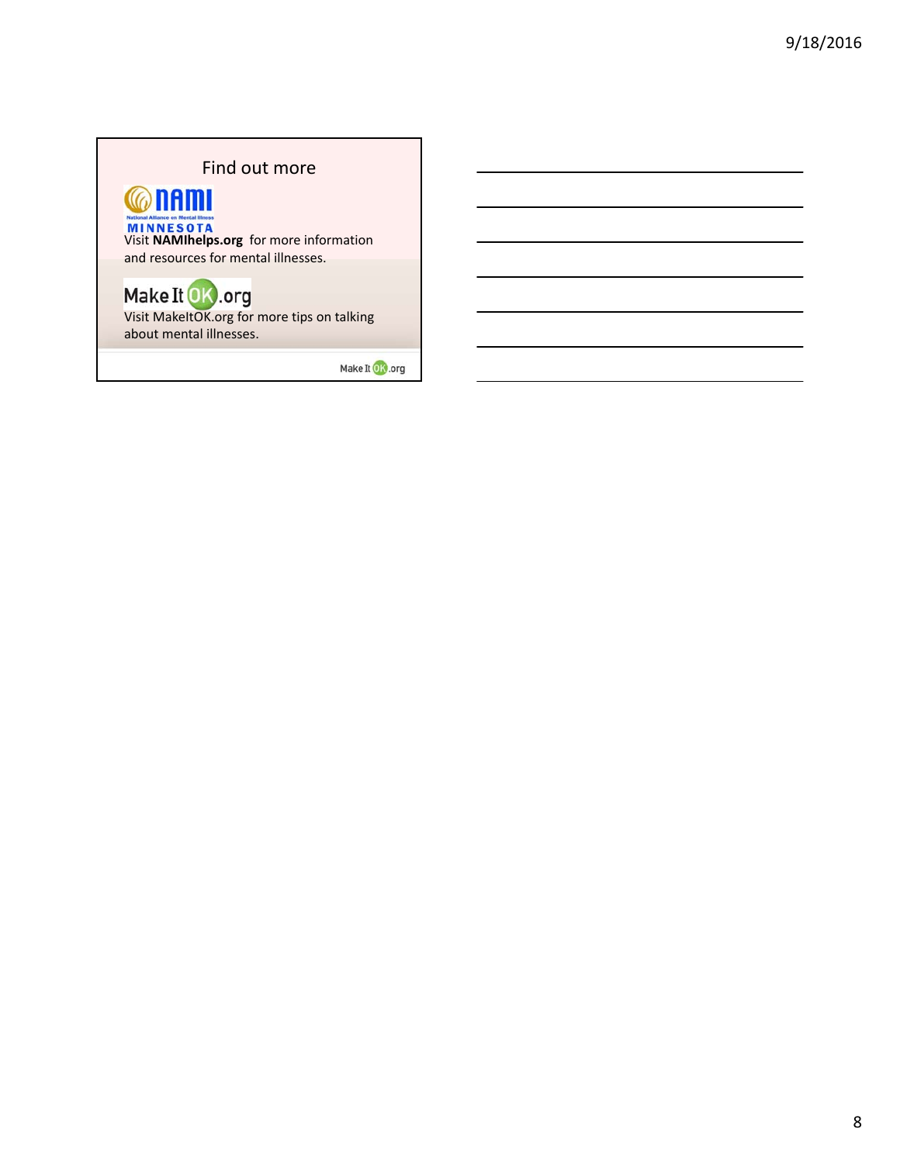# Find out more



National Alliance on Mental Illness<br>**MINNESOTA**<br>Visit **NAMIhelps.org** for more information and resources for mental illnesses.

# Make It OK .org

Visit MakeItOK.org for more tips on talking about mental illnesses.

Make It <sup>(a)</sup> org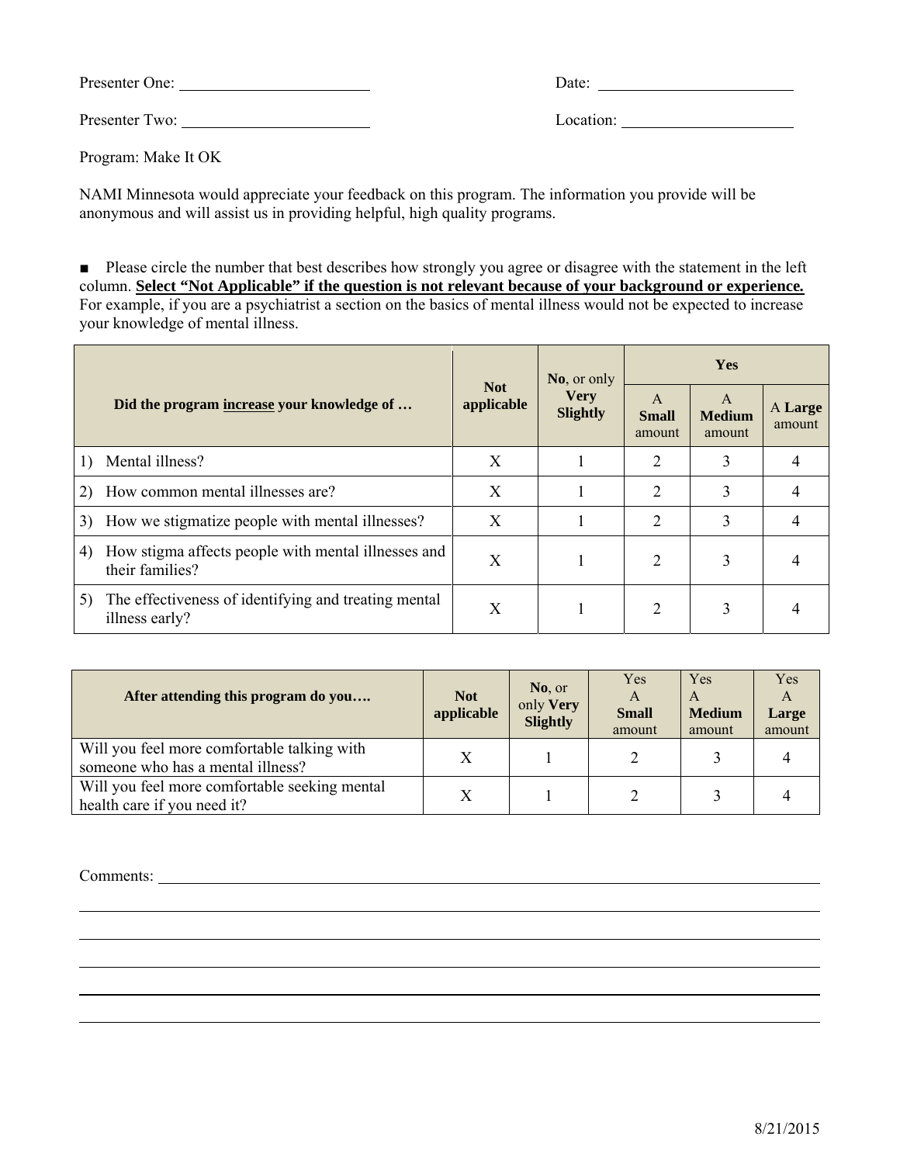| Presenter One: | Date: |  |
|----------------|-------|--|
|                |       |  |

Presenter Two: Location: Location: Location:

Program: Make It OK

NAMI Minnesota would appreciate your feedback on this program. The information you provide will be anonymous and will assist us in providing helpful, high quality programs.

■ Please circle the number that best describes how strongly you agree or disagree with the statement in the left column. **Select "Not Applicable" if the question is not relevant because of your background or experience***.* For example, if you are a psychiatrist a section on the basics of mental illness would not be expected to increase your knowledge of mental illness.

| Did the program increase your knowledge of |                                                                        | <b>Not</b><br>applicable | <b>No</b> , or only<br><b>Very</b><br><b>Slightly</b> | <b>Yes</b>                             |                              |                   |
|--------------------------------------------|------------------------------------------------------------------------|--------------------------|-------------------------------------------------------|----------------------------------------|------------------------------|-------------------|
|                                            |                                                                        |                          |                                                       | $\mathsf{A}$<br><b>Small</b><br>amount | A<br><b>Medium</b><br>amount | A Large<br>amount |
|                                            | Mental illness?                                                        | X                        |                                                       | 2                                      | 3                            | 4                 |
|                                            | How common mental illnesses are?                                       | X                        |                                                       | 2                                      | 3                            | 4                 |
| 3)                                         | How we stigmatize people with mental illnesses?                        | X                        |                                                       | $\overline{2}$                         | 3                            |                   |
| 4)                                         | How stigma affects people with mental illnesses and<br>their families? | X                        |                                                       | $\overline{2}$                         | 3                            | 4                 |
| 5)                                         | The effectiveness of identifying and treating mental<br>illness early? | X                        |                                                       | $\overline{2}$                         | 3                            |                   |

| After attending this program do you                                              | <b>Not</b><br>applicable | $No.$ or<br>only Very<br><b>Slightly</b> | Yes<br>$\mathbf{A}$<br><b>Small</b><br>amount | Yes<br>A<br><b>Medium</b><br>amount | Yes<br>A<br>Large<br>amount |
|----------------------------------------------------------------------------------|--------------------------|------------------------------------------|-----------------------------------------------|-------------------------------------|-----------------------------|
| Will you feel more comfortable talking with<br>someone who has a mental illness? |                          |                                          |                                               |                                     |                             |
| Will you feel more comfortable seeking mental<br>health care if you need it?     |                          |                                          |                                               |                                     |                             |

Comments:

l

l